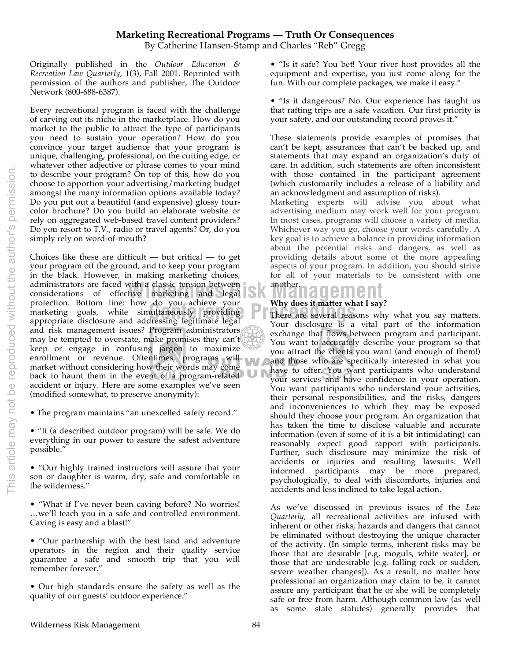# This article may not be reproduced without the author's permission. This article may not be reproduced without the author's permission

### **Marketing Recreational Programs — Truth Or Consequences**

By Catherine Hansen-Stamp and Charles "Reb" Gregg

Originally published in the *Outdoor Education & Recreation Law Quarterly*, 1(3), Fall 2001. Reprinted with permission of the authors and publisher, The Outdoor Network (800-688-6387).

Every recreational program is faced with the challenge of carving out its niche in the marketplace. How do you market to the public to attract the type of participants you need to sustain your operation? How do you convince your target audience that your program is unique, challenging, professional, on the cutting edge, or whatever other adjective or phrase comes to your mind to describe your program? On top of this, how do you choose to apportion your advertising/marketing budget amongst the many information options available today? Do you put out a beautiful (and expensive) glossy fourcolor brochure? Do you build an elaborate website or rely on aggregated web-based travel content providers? Do you resort to T.V., radio or travel agents? Or, do you simply rely on word-of-mouth?

protection. Bottom line: how do you achieve your **Why does it matter when**<br>
marketing goals, while simultaneously providing<br>
appropriate disclosure and addressing legitimate legal Choices like these are difficult  $-$  but critical  $-$  to get your program off the ground, and to keep your program in the black. However, in making marketing choices, administrators are faced with a classic tension between considerations of effective marketing and legal marketing goals, while simultaneously providing appropriate disclosure and addressing legitimate legal and risk management issues? Program administrators may be tempted to overstate, make promises they can't keep or engage in confusing jargon to maximize enrollment or revenue. Oftentimes, programs will market without considering how their words may come back to haunt them in the event of a program-related accident or injury. Here are some examples we've seen (modified somewhat, to preserve anonymity):

• The program maintains "an unexcelled safety record."

• "It (a described outdoor program) will be safe. We do everything in our power to assure the safest adventure possible."

• "Our highly trained instructors will assure that your son or daughter is warm, dry, safe and comfortable in the wilderness."

• "What if I've never been caving before? No worries! …we'll teach you in a safe and controlled environment. Caving is easy and a blast!"

• "Our partnership with the best land and adventure operators in the region and their quality service guarantee a safe and smooth trip that you will remember forever."

• Our high standards ensure the safety as well as the quality of our guests' outdoor experience."

• "Is it safe? You bet! Your river host provides all the equipment and expertise, you just come along for the fun. With our complete packages, we make it easy."

• "Is it dangerous? No. Our experience has taught us that rafting trips are a safe vacation. Our first priority is your safety, and our outstanding record proves it."

These statements provide examples of promises that can't be kept, assurances that can't be backed up, and statements that may expand an organization's duty of care. In addition, such statements are often inconsistent with those contained in the participant agreement (which customarily includes a release of a liability and an acknowledgment and assumption of risks).

Marketing experts will advise you about what advertising medium may work well for your program. In most cases, programs will choose a variety of media. Whichever way you go, choose your words carefully. A key goal is to achieve a balance in providing information about the potential risks and dangers, as well as providing details about some of the more appealing aspects of your program. In addition, you should strive for all of your materials to be consistent with one another.

## **wanagement**

### **Why does it matter what I say?**

There are several reasons why what you say matters. Your disclosure is a vital part of the information exchange that flows between program and participant. You want to accurately describe your program so that you attract the clients you want (and enough of them!) and those who are specifically interested in what you have to offer. You want participants who understand your services and have confidence in your operation. You want participants who understand your activities, their personal responsibilities, and the risks, dangers and inconveniences to which they may be exposed should they choose your program. An organization that has taken the time to disclose valuable and accurate information (even if some of it is a bit intimidating) can reasonably expect good rapport with participants. Further, such disclosure may minimize the risk of accidents or injuries and resulting lawsuits. Well informed participants may be more prepared, psychologically, to deal with discomforts, injuries and accidents and less inclined to take legal action.

As we've discussed in previous issues of the *Law Quarterly,* all recreational activities are infused with inherent or other risks, hazards and dangers that cannot be eliminated without destroying the unique character of the activity. (In simple terms, inherent risks may be those that are desirable [e.g. moguls, white water], or those that are undesirable [e.g. falling rock or sudden, severe weather changes]). As a result, no matter how professional an organization may claim to be, it cannot assure any participant that he or she will be completely safe or free from harm. Although common law (as well as some state statutes) generally provides that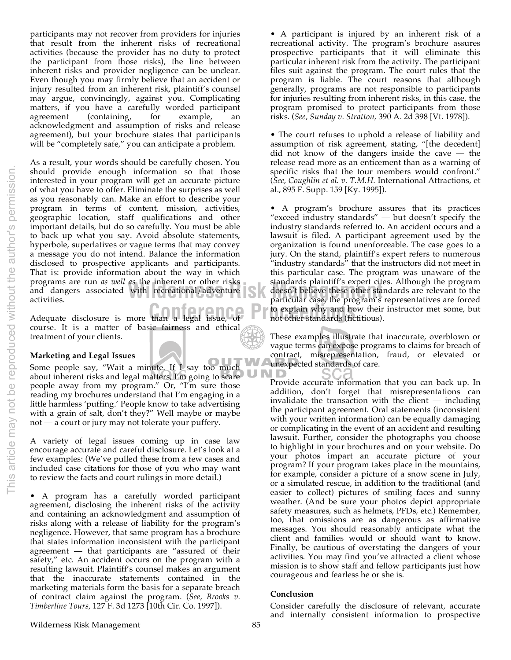participants may not recover from providers for injuries that result from the inherent risks of recreational activities (because the provider has no duty to protect the participant from those risks), the line between inherent risks and provider negligence can be unclear. Even though you may firmly believe that an accident or injury resulted from an inherent risk, plaintiff's counsel may argue, convincingly, against you. Complicating matters, if you have a carefully worded participant agreement (containing, for example, an acknowledgment and assumption of risks and release agreement), but your brochure states that participants will be "completely safe," you can anticipate a problem.

programs are run *us well us* the inherent or other risks<br>and dangers associated with recreational/adventure<br>activities.<br>activities. As a result, your words should be carefully chosen. You should provide enough information so that those interested in your program will get an accurate picture of what you have to offer. Eliminate the surprises as well as you reasonably can. Make an effort to describe your program in terms of content, mission, activities, geographic location, staff qualifications and other important details, but do so carefully. You must be able to back up what you say. Avoid absolute statements, hyperbole, superlatives or vague terms that may convey a message you do not intend. Balance the information disclosed to prospective applicants and participants. That is: provide information about the way in which programs are run *as well as* the inherent or other risks activities.

Adequate disclosure is more than a legal issue, of **Proceeding to explain why and he** Adequate disclosure is more than a legal issue, of course. It is a matter of basic fairness and ethical treatment of your clients.

### **Marketing and Legal Issues**

Some people say, "Wait a minute. If I say too much about inherent risks and legal matters, I'm going to scare people away from my program." Or, "I'm sure those reading my brochures understand that I'm engaging in a little harmless 'puffing.' People know to take advertising with a grain of salt, don't they?" Well maybe or maybe not — a court or jury may not tolerate your puffery.

A variety of legal issues coming up in case law encourage accurate and careful disclosure. Let's look at a few examples: (We've pulled these from a few cases and included case citations for those of you who may want to review the facts and court rulings in more detail.)

• A program has a carefully worded participant agreement, disclosing the inherent risks of the activity and containing an acknowledgment and assumption of risks along with a release of liability for the program's negligence. However, that same program has a brochure that states information inconsistent with the participant agreement — that participants are "assured of their safety," etc. An accident occurs on the program with a resulting lawsuit. Plaintiff's counsel makes an argument that the inaccurate statements contained in the marketing materials form the basis for a separate breach of contract claim against the program. (*See, Brooks v. Timberline Tours,* 127 F. 3d 1273 [10th Cir. Co. 1997]).

• A participant is injured by an inherent risk of a recreational activity. The program's brochure assures prospective participants that it will eliminate this particular inherent risk from the activity. The participant files suit against the program. The court rules that the program is liable. The court reasons that although generally, programs are not responsible to participants for injuries resulting from inherent risks, in this case, the program promised to protect participants from those risks. (*See, Sunday v. Stratton,* 390 A. 2d 398 [Vt. 1978]).

• The court refuses to uphold a release of liability and assumption of risk agreement, stating, "[the decedent] did not know of the dangers inside the cave — the release read more as an enticement than as a warning of specific risks that the tour members would confront." (*See, Coughlin et al. v. T.M.H.* International Attractions, et al., 895 F. Supp. 159 [Ky. 1995]).

• A program's brochure assures that its practices "exceed industry standards" — but doesn't specify the industry standards referred to. An accident occurs and a lawsuit is filed. A participant agreement used by the organization is found unenforceable. The case goes to a jury. On the stand, plaintiff's expert refers to numerous "industry standards" that the instructors did not meet in this particular case. The program was unaware of the standards plaintiff's expert cites. Although the program doesn't believe these other standards are relevant to the particular case, the program's representatives are forced to explain why and how their instructor met some, but not other standards (fictitious).

These examples illustrate that inaccurate, overblown or vague terms can expose programs to claims for breach of contract, misrepresentation, fraud, or elevated or unexpected standards of care.

Provide accurate information that you can back up. In addition, don't forget that misrepresentations can invalidate the transaction with the client — including the participant agreement. Oral statements (inconsistent with your written information) can be equally damaging or complicating in the event of an accident and resulting lawsuit. Further, consider the photographs you choose to highlight in your brochures and on your website. Do your photos impart an accurate picture of your program? If your program takes place in the mountains, for example, consider a picture of a snow scene in July, or a simulated rescue, in addition to the traditional (and easier to collect) pictures of smiling faces and sunny weather. (And be sure your photos depict appropriate safety measures, such as helmets, PFDs, etc.) Remember, too, that omissions are as dangerous as affirmative messages. You should reasonably anticipate what the client and families would or should want to know. Finally, be cautious of overstating the dangers of your activities. You may find you've attracted a client whose mission is to show staff and fellow participants just how courageous and fearless he or she is.

### **Conclusion**

Consider carefully the disclosure of relevant, accurate and internally consistent information to prospective